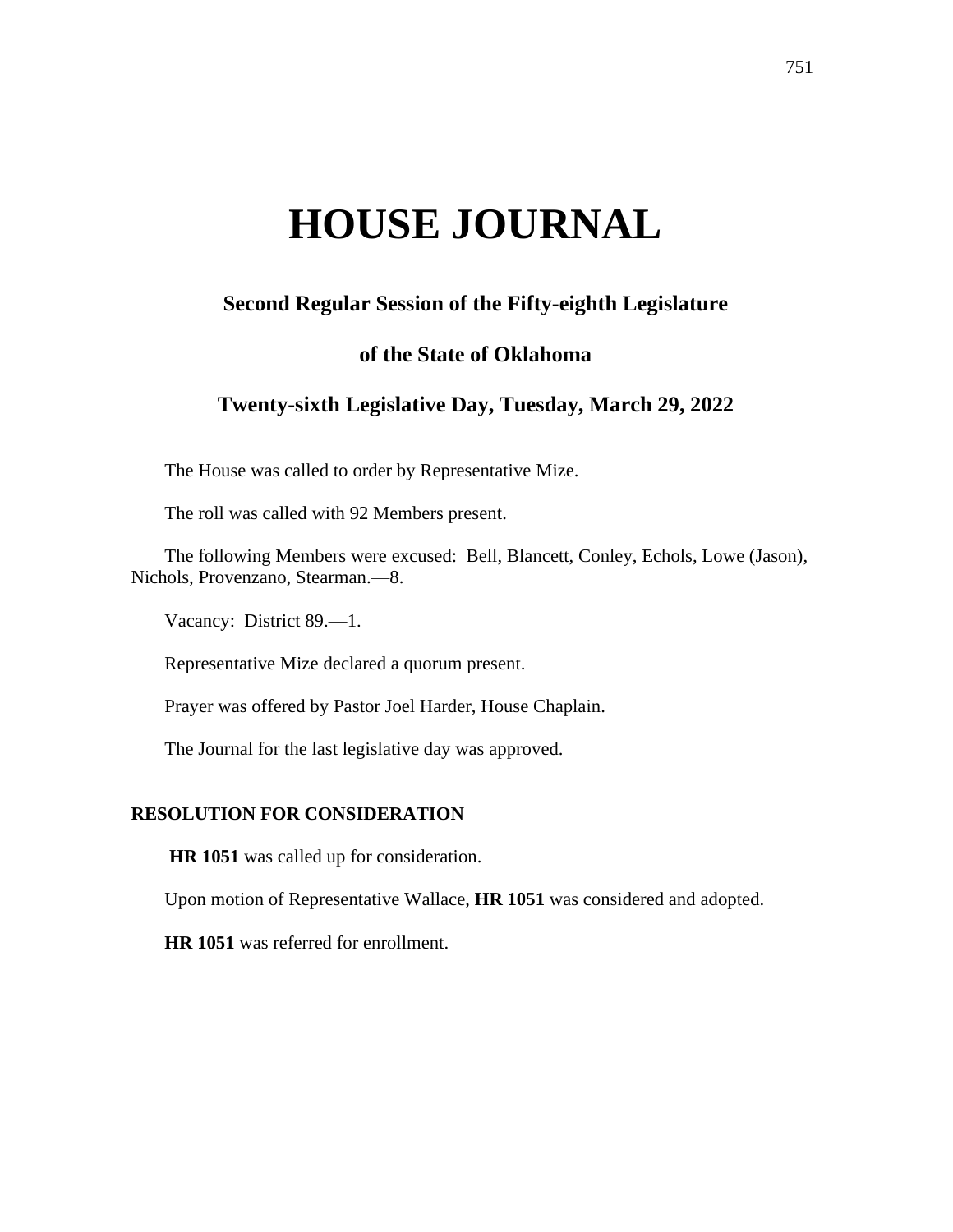# **HOUSE JOURNAL**

## **Second Regular Session of the Fifty-eighth Legislature**

## **of the State of Oklahoma**

## **Twenty-sixth Legislative Day, Tuesday, March 29, 2022**

The House was called to order by Representative Mize.

The roll was called with 92 Members present.

The following Members were excused: Bell, Blancett, Conley, Echols, Lowe (Jason), Nichols, Provenzano, Stearman.—8.

Vacancy: District 89.—1.

Representative Mize declared a quorum present.

Prayer was offered by Pastor Joel Harder, House Chaplain.

The Journal for the last legislative day was approved.

### **RESOLUTION FOR CONSIDERATION**

**HR 1051** was called up for consideration.

Upon motion of Representative Wallace, **HR 1051** was considered and adopted.

**HR 1051** was referred for enrollment.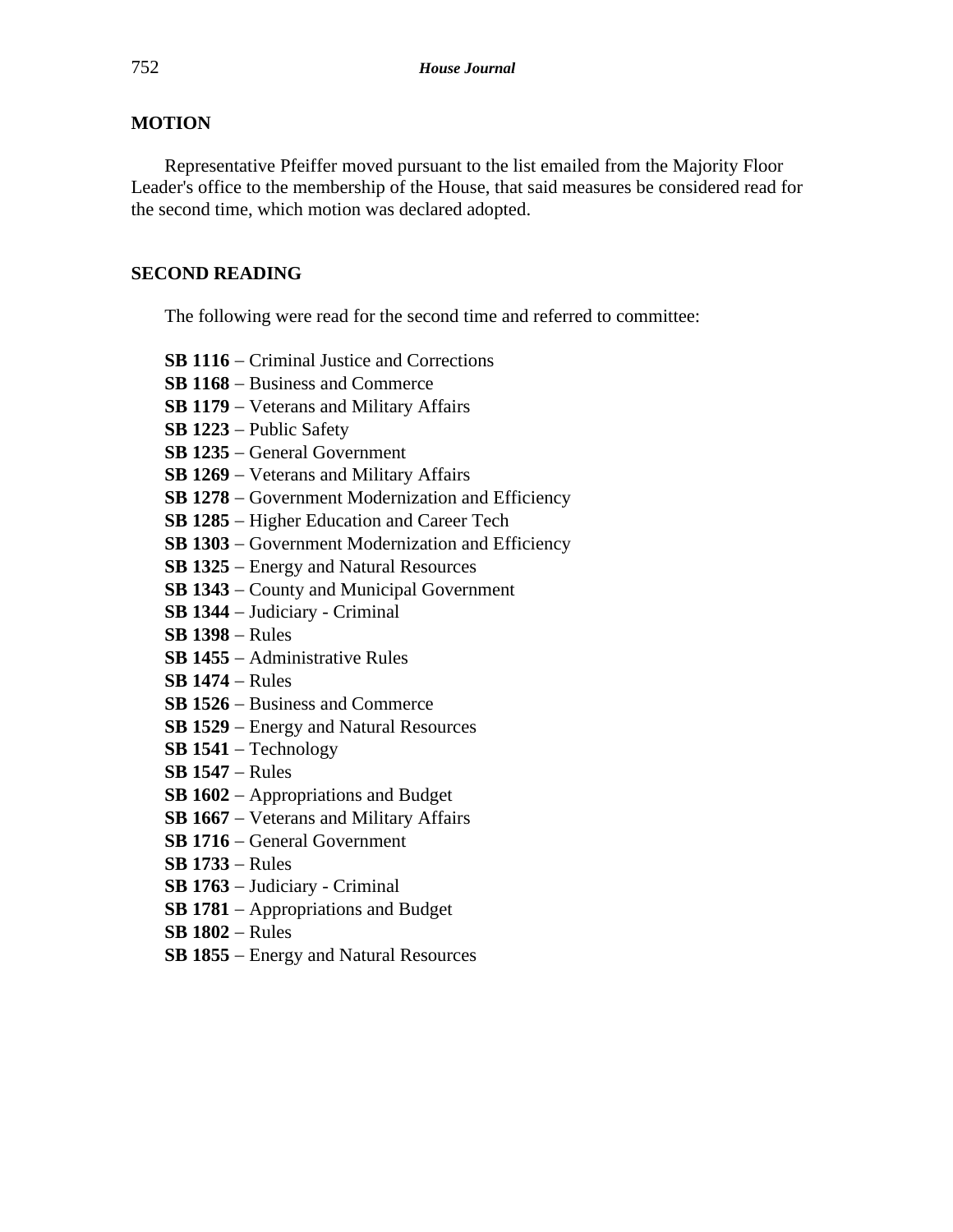### **MOTION**

Representative Pfeiffer moved pursuant to the list emailed from the Majority Floor Leader's office to the membership of the House, that said measures be considered read for the second time, which motion was declared adopted.

### **SECOND READING**

The following were read for the second time and referred to committee:

**SB 1116** − Criminal Justice and Corrections

**SB 1168** − Business and Commerce

**SB 1179** − Veterans and Military Affairs

**SB 1223** − Public Safety

**SB 1235** − General Government

**SB 1269** − Veterans and Military Affairs

**SB 1278** − Government Modernization and Efficiency

**SB 1285** − Higher Education and Career Tech

**SB 1303** − Government Modernization and Efficiency

**SB 1325** − Energy and Natural Resources

**SB 1343** − County and Municipal Government

**SB 1344** − Judiciary - Criminal

**SB 1398** − Rules

**SB 1455** − Administrative Rules

**SB 1474** − Rules

**SB 1526** − Business and Commerce

**SB 1529** − Energy and Natural Resources

**SB 1541** − Technology

**SB 1547** − Rules

**SB 1602** − Appropriations and Budget

**SB 1667** − Veterans and Military Affairs

**SB 1716** − General Government

**SB 1733** − Rules

**SB 1763** − Judiciary - Criminal

**SB 1781** − Appropriations and Budget

**SB 1802** − Rules

**SB 1855** − Energy and Natural Resources